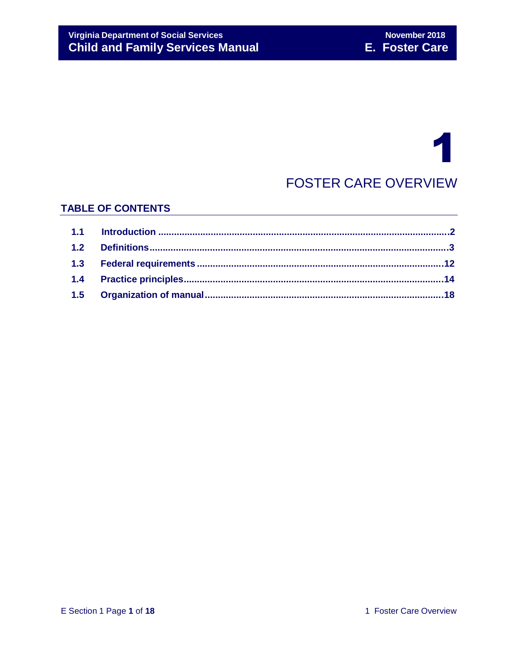# 1

## FOSTER CARE OVERVIEW

## **TABLE OF CONTENTS**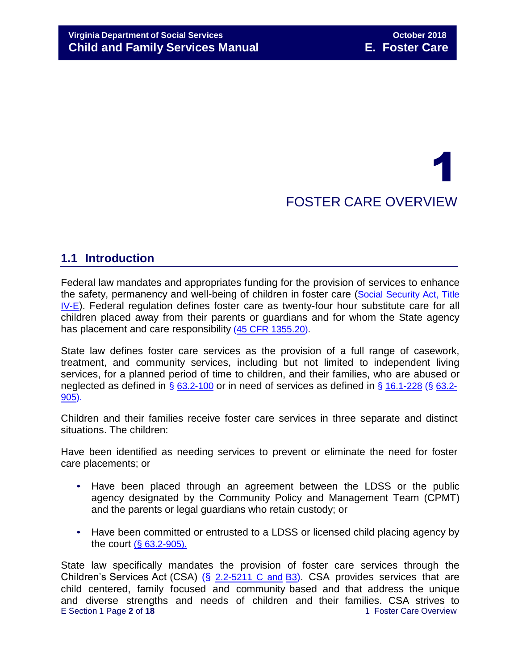## 1 FOSTER CARE OVERVIEW

## **1.1 Introduction**

Federal law mandates and appropriates funding for the provision of services to enhance the safety, permanency and well-being of children in foster care (Social [Security](http://www.ssa.gov/OP_Home/ssact/title04/0400.htm) Act, Title [IV-E](http://www.ssa.gov/OP_Home/ssact/title04/0400.htm)). Federal regulation defines foster care as twenty-four hour substitute care for all children placed away from their parents or guardians and for whom the State agency has placement and care responsibility (45 [CFR 1355.20\)](http://edocket.access.gpo.gov/cfr_2002/octqtr/45cfr1355.20.htm).

State law defines foster care services as the provision of a full range of casework, treatment, and community services, including but not limited to independent living services, for a planned period of time to children, and their families, who are abused or neglected as defined in § [63.2-100](http://law.lis.virginia.gov/vacode/63.2-100/) or in need of services as defined in § [16.1-228](http://law.lis.virginia.gov/vacode/16.1-228/) (§ [63.2-](http://law.lis.virginia.gov/vacode/63.2-905/) [905\)](http://leg1.state.va.us/cgi-bin/legp504.exe?000%2Bcod%2B63.2-905).

Children and their families receive foster care services in three separate and distinct situations. The children:

Have been identified as needing services to prevent or eliminate the need for foster care placements; or

- Have been placed through an agreement between the LDSS or the public agency designated by the Community Policy and Management Team (CPMT) and the parents or legal guardians who retain custody; or
- Have been committed or entrusted to a LDSS or licensed child placing agency by the court (§ [63.2-905\)](http://law.lis.virginia.gov/vacode/63.2-905/).

E Section 1 Page 2 of 18 1 and 1 Foster Care Overview State law specifically mandates the provision of foster care services through the Children's Services Act (CSA) (§ [2.2-5211](https://vacode.org/2.2-5211/) C and [B3](https://vacode.org/2.2-5211/)). CSA provides services that are child centered, family focused and community based and that address the unique and diverse strengths and needs of children and their families. CSA strives to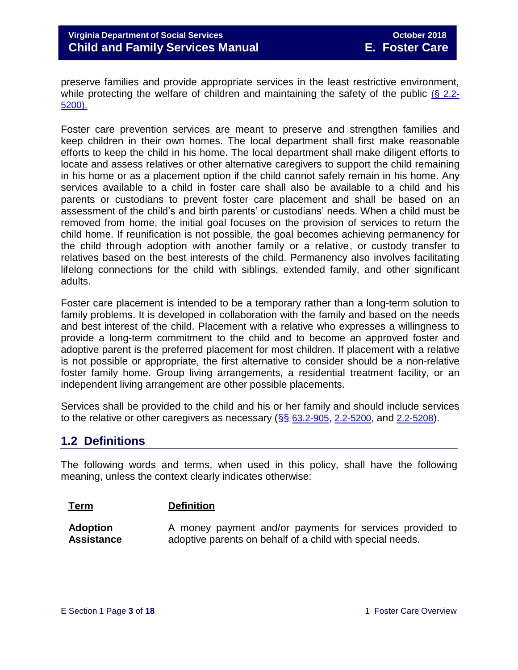preserve families and provide appropriate services in the least restrictive environment, while protecting the welfare of children and maintaining the safety of the public  $(§ 2.2 (§ 2.2-$ [5200\).](http://law.lis.virginia.gov/vacode/2.2-5200/)

Foster care prevention services are meant to preserve and strengthen families and keep children in their own homes. The local department shall first make reasonable efforts to keep the child in his home. The local department shall make diligent efforts to locate and assess relatives or other alternative caregivers to support the child remaining in his home or as a placement option if the child cannot safely remain in his home. Any services available to a child in foster care shall also be available to a child and his parents or custodians to prevent foster care placement and shall be based on an assessment of the child's and birth parents' or custodians' needs. When a child must be removed from home, the initial goal focuses on the provision of services to return the child home. If reunification is not possible, the goal becomes achieving permanency for the child through adoption with another family or a relative, or custody transfer to relatives based on the best interests of the child. Permanency also involves facilitating lifelong connections for the child with siblings, extended family, and other significant adults.

Foster care placement is intended to be a temporary rather than a long-term solution to family problems. It is developed in collaboration with the family and based on the needs and best interest of the child. Placement with a relative who expresses a willingness to provide a long-term commitment to the child and to become an approved foster and adoptive parent is the preferred placement for most children. If placement with a relative is not possible or appropriate, the first alternative to consider should be a non-relative foster family home. Group living arrangements, a residential treatment facility, or an independent living arrangement are other possible placements.

Services shall be provided to the child and his or her family and should include services to the relative or other caregivers as necessary  $(\S\S 63.2-905, 2.2-5200,$  $(\S\S 63.2-905, 2.2-5200,$  $(\S\S 63.2-905, 2.2-5200,$  $(\S\S 63.2-905, 2.2-5200,$  $(\S\S 63.2-905, 2.2-5200,$  and  $2.2-5208)$  $2.2-5208)$ .

## **1.2 Definitions**

The following words and terms, when used in this policy, shall have the following meaning, unless the context clearly indicates otherwise:

#### **Term Definition**

**Adoption Assistance** A money payment and/or payments for services provided to adoptive parents on behalf of a child with special needs.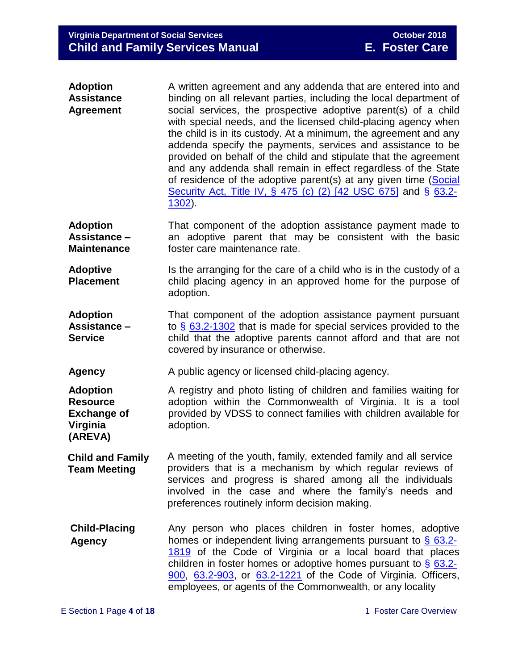| <b>Adoption</b>   | A written agreement and any addenda that are entered into and                                                                                                                                                                                                                                                                                                                                                                                                                                                                                                |
|-------------------|--------------------------------------------------------------------------------------------------------------------------------------------------------------------------------------------------------------------------------------------------------------------------------------------------------------------------------------------------------------------------------------------------------------------------------------------------------------------------------------------------------------------------------------------------------------|
| <b>Assistance</b> | binding on all relevant parties, including the local department of                                                                                                                                                                                                                                                                                                                                                                                                                                                                                           |
| <b>Agreement</b>  | social services, the prospective adoptive parent(s) of a child<br>with special needs, and the licensed child-placing agency when<br>the child is in its custody. At a minimum, the agreement and any<br>addenda specify the payments, services and assistance to be<br>provided on behalf of the child and stipulate that the agreement<br>and any addenda shall remain in effect regardless of the State<br>of residence of the adoptive parent(s) at any given time (Social<br>Security Act, Title IV, § 475 (c) (2) [42 USC 675] and § 63.2-<br>$1302$ ). |
|                   |                                                                                                                                                                                                                                                                                                                                                                                                                                                                                                                                                              |

- **Adoption Assistance – Maintenance** That component of the adoption assistance payment made to an adoptive parent that may be consistent with the basic foster care maintenance rate.
- **Adoptive Placement** Is the arranging for the care of a child who is in the custody of a child placing agency in an approved home for the purpose of adoption.
- **Adoption Assistance – Service** That component of the adoption assistance payment pursuant to § [63.2-1302](http://law.lis.virginia.gov/vacode/63.2-1302/) that is made for special services provided to the child that the adoptive parents cannot afford and that are not covered by insurance or otherwise.
- **Agency** A public agency or licensed child-placing agency.

**Adoption Resource Exchange of Virginia**  A registry and photo listing of children and families waiting for adoption within the Commonwealth of Virginia. It is a tool provided by VDSS to connect families with children available for adoption.

- **Child and Family Team Meeting** A meeting of the youth, family, extended family and all service providers that is a mechanism by which regular reviews of services and progress is shared among all the individuals involved in the case and where the family's needs and preferences routinely inform decision making.
- **Child-Placing Agency** Any person who places children in foster homes, adoptive homes or independent living arrangements pursuant to § [63.2-](http://law.lis.virginia.gov/vacode/63.2-1819/) [1819](http://law.lis.virginia.gov/vacode/63.2-1819/) of the Code of Virginia or a local board that places children in foster homes or adoptive homes pursuant to  $\frac{6}{9}$  [63.2-](http://law.lis.virginia.gov/vacode/63.2-900/) [900,](http://leg1.state.va.us/cgi-bin/legp504.exe?000%2Bcod%2B63.2-900) [63.2-903,](http://law.lis.virginia.gov/vacode/63.2-903/) or [63.2-1221](http://law.lis.virginia.gov/vacode/63.2-1221/) of the Code of Virginia. Officers, employees, or agents of the Commonwealth, or any locality

**(AREVA)**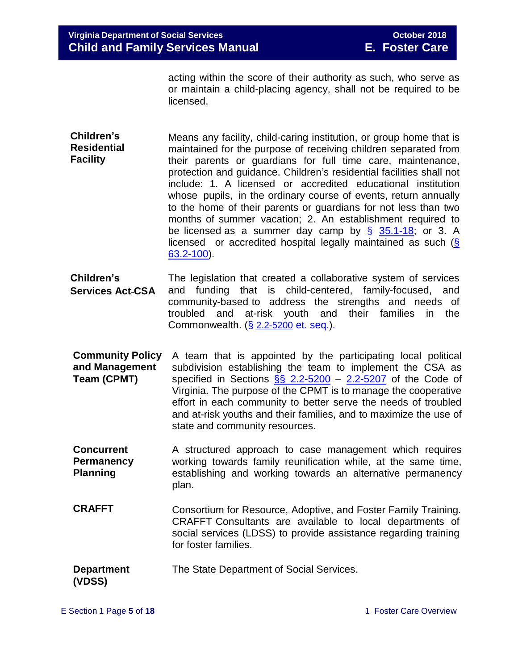acting within the score of their authority as such, who serve as or maintain a child-placing agency, shall not be required to be licensed.

- **Children's Residential Facility** Means any facility, child-caring institution, or group home that is maintained for the purpose of receiving children separated from their parents or guardians for full time care, maintenance, protection and guidance. Children's residential facilities shall not include: 1. A licensed or accredited educational institution whose pupils, in the ordinary course of events, return annually to the home of their parents or guardians for not less than two months of summer vacation; 2. An establishment required to be licensed as a summer day camp by  $\S$  [35.1-18;](http://law.lis.virginia.gov/vacode/35.1-18/) or 3. A licensed or accredited hospital legally maintained as such [\(§](http://law.lis.virginia.gov/vacode/63.2-100/) [63.2-100\)](http://law.lis.virginia.gov/vacode/63.2-100/).
- **Children's Services Act CSA** The legislation that created a collaborative system of services and funding that is child-centered, family-focused, and community-based to address the strengths and needs of troubled and at-risk youth and their families in the Commonwealth. (§ [2.2-5200](http://law.lis.virginia.gov/vacode/2.2-5200/) et. seq.).
- **Community Policy and Management Team (CPMT)** A team that is appointed by the participating local political subdivision establishing the team to implement the CSA as specified in Sections  $\S$  2.2-5200 – [2.2-5207](http://law.lis.virginia.gov/vacode/2.2-5207/) of the Code of Virginia. The purpose of the CPMT is to manage the cooperative effort in each community to better serve the needs of troubled and at-risk youths and their families, and to maximize the use of state and community resources.
- **Concurrent Permanency Planning** A structured approach to case management which requires working towards family reunification while, at the same time, establishing and working towards an alternative permanency plan.
- **CRAFFT** Consortium for Resource, Adoptive, and Foster Family Training. CRAFFT Consultants are available to local departments of social services (LDSS) to provide assistance regarding training for foster families.
- **Department** The State Department of Social Services.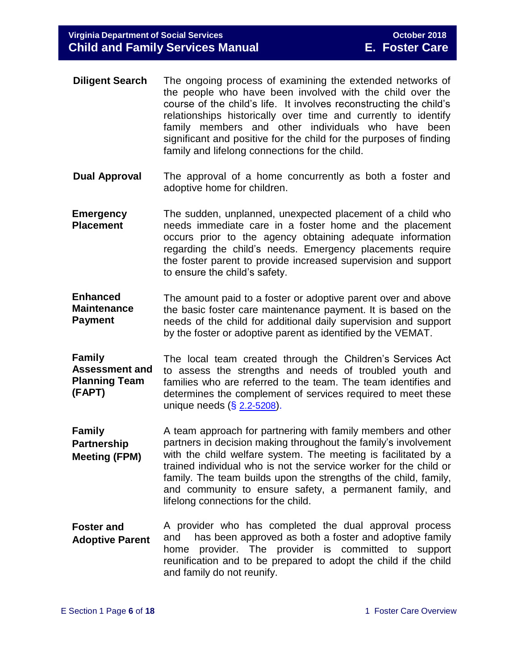- **Diligent Search** The ongoing process of examining the extended networks of the people who have been involved with the child over the course of the child's life. It involves reconstructing the child's relationships historically over time and currently to identify family members and other individuals who have been significant and positive for the child for the purposes of finding family and lifelong connections for the child.
- **Dual Approval** The approval of a home concurrently as both a foster and adoptive home for children.
- **Emergency Placement** The sudden, unplanned, unexpected placement of a child who needs immediate care in a foster home and the placement occurs prior to the agency obtaining adequate information regarding the child's needs. Emergency placements require the foster parent to provide increased supervision and support to ensure the child's safety.
- **Enhanced Maintenance Payment** The amount paid to a foster or adoptive parent over and above the basic foster care maintenance payment. It is based on the needs of the child for additional daily supervision and support by the foster or adoptive parent as identified by the VEMAT.
- **Family Assessment and Planning Team (FAPT)** The local team created through the Children's Services Act to assess the strengths and needs of troubled youth and families who are referred to the team. The team identifies and determines the complement of services required to meet these unique needs (§ [2.2-5208](http://law.lis.virginia.gov/vacode/2.2-5208/)).
- **Family Partnership Meeting (FPM)** A team approach for partnering with family members and other partners in decision making throughout the family's involvement with the child welfare system. The meeting is facilitated by a trained individual who is not the service worker for the child or family. The team builds upon the strengths of the child, family, and community to ensure safety, a permanent family, and lifelong connections for the child.
- **Foster and Adoptive Parent** A provider who has completed the dual approval process and has been approved as both a foster and adoptive family home provider. The provider is committed to support reunification and to be prepared to adopt the child if the child and family do not reunify.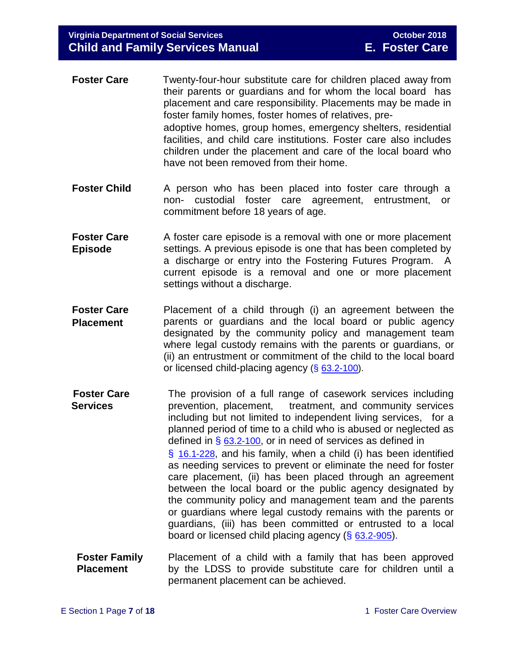- **Foster Care** Twenty-four-hour substitute care for children placed away from their parents or guardians and for whom the local board has placement and care responsibility. Placements may be made in foster family homes, foster homes of relatives, preadoptive homes, group homes, emergency shelters, residential facilities, and child care institutions. Foster care also includes children under the placement and care of the local board who have not been removed from their home.
- **Foster Child** A person who has been placed into foster care through a non- custodial foster care agreement, entrustment, or commitment before 18 years of age.
- **Foster Care Episode** A foster care episode is a removal with one or more placement settings. A previous episode is one that has been completed by a discharge or entry into the Fostering Futures Program. A current episode is a removal and one or more placement settings without a discharge.
- **Foster Care Placement** Placement of a child through (i) an agreement between the parents or guardians and the local board or public agency designated by the community policy and management team where legal custody remains with the parents or guardians, or (ii) an entrustment or commitment of the child to the local board or licensed child-placing agency (§ [63.2-100\)](http://law.lis.virginia.gov/vacode/63.2-100/).
- **Foster Care Services** The provision of a full range of casework services including prevention, placement, treatment, and community services including but not limited to independent living services, for a planned period of time to a child who is abused or neglected as defined in  $\S$  [63.2-100](http://law.lis.virginia.gov/vacode/63.2-100/), or in need of services as defined in § [16.1-228](http://law.lis.virginia.gov/vacode/16.1-228/), and his family, when a child (i) has been identified as needing services to prevent or eliminate the need for foster care placement, (ii) has been placed through an agreement between the local board or the public agency designated by the community policy and management team and the parents or guardians where legal custody remains with the parents or guardians, (iii) has been committed or entrusted to a local board or licensed child placing agency (§ [63.2-905](http://law.lis.virginia.gov/vacode/63.2-905/)).
- **Foster Family Placement** Placement of a child with a family that has been approved by the LDSS to provide substitute care for children until a permanent placement can be achieved.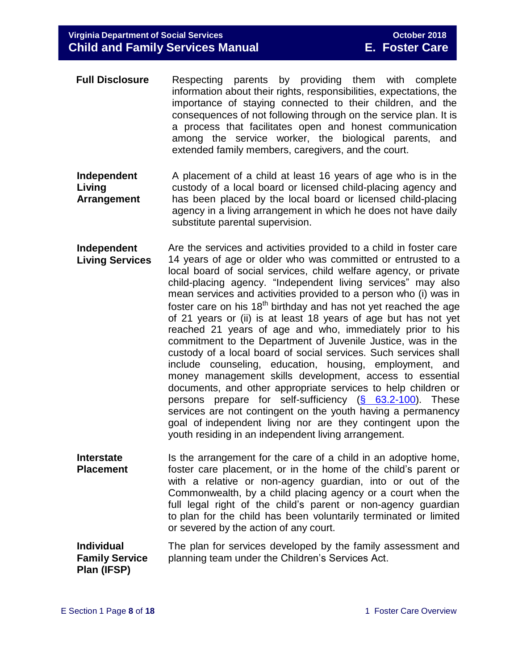- **Full Disclosure** Respecting parents by providing them with complete information about their rights, responsibilities, expectations, the importance of staying connected to their children, and the consequences of not following through on the service plan. It is a process that facilitates open and honest communication among the service worker, the biological parents, and extended family members, caregivers, and the court.
- **Independent Living Arrangement** A placement of a child at least 16 years of age who is in the custody of a local board or licensed child-placing agency and has been placed by the local board or licensed child-placing agency in a living arrangement in which he does not have daily substitute parental supervision.
- **Independent Living Services** Are the services and activities provided to a child in foster care 14 years of age or older who was committed or entrusted to a local board of social services, child welfare agency, or private child-placing agency. "Independent living services" may also mean services and activities provided to a person who (i) was in foster care on his 18<sup>th</sup> birthday and has not yet reached the age of 21 years or (ii) is at least 18 years of age but has not yet reached 21 years of age and who, immediately prior to his commitment to the Department of Juvenile Justice, was in the custody of a local board of social services. Such services shall include counseling, education, housing, employment, and money management skills development, access to essential documents, and other appropriate services to help children or persons prepare for self-sufficiency [\(§ 63.2-100\)](http://law.lis.virginia.gov/vacode/63.2-100/). These services are not contingent on the youth having a permanency goal of independent living nor are they contingent upon the youth residing in an independent living arrangement.
- **Interstate Placement** Is the arrangement for the care of a child in an adoptive home, foster care placement, or in the home of the child's parent or with a relative or non-agency guardian, into or out of the Commonwealth, by a child placing agency or a court when the full legal right of the child's parent or non-agency guardian to plan for the child has been voluntarily terminated or limited or severed by the action of any court.

**Individual Family Service Plan (IFSP)** The plan for services developed by the family assessment and planning team under the Children's Services Act.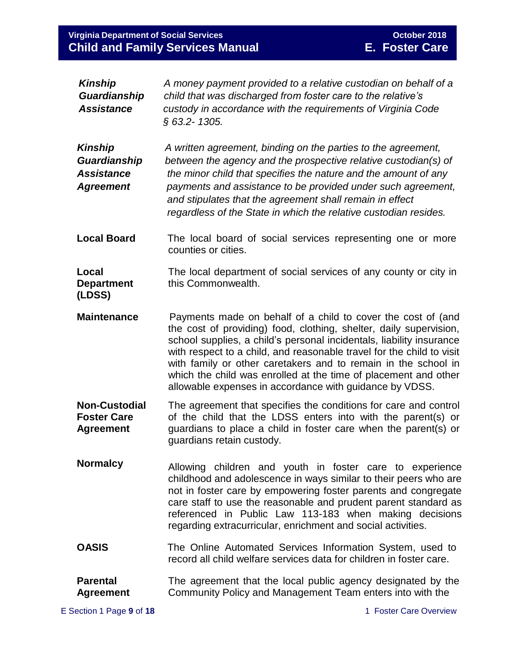## **Virginia Department of Social Services Child and Family Services Manual**

| <b>Kinship</b><br>Guardianship<br><b>Assistance</b>                     | A money payment provided to a relative custodian on behalf of a<br>child that was discharged from foster care to the relative's<br>custody in accordance with the requirements of Virginia Code<br>§ 63.2-1305.                                                                                                                                                                                                                                                                     |
|-------------------------------------------------------------------------|-------------------------------------------------------------------------------------------------------------------------------------------------------------------------------------------------------------------------------------------------------------------------------------------------------------------------------------------------------------------------------------------------------------------------------------------------------------------------------------|
| <b>Kinship</b><br>Guardianship<br><b>Assistance</b><br><b>Agreement</b> | A written agreement, binding on the parties to the agreement,<br>between the agency and the prospective relative custodian(s) of<br>the minor child that specifies the nature and the amount of any<br>payments and assistance to be provided under such agreement,<br>and stipulates that the agreement shall remain in effect<br>regardless of the State in which the relative custodian resides.                                                                                 |
| <b>Local Board</b>                                                      | The local board of social services representing one or more<br>counties or cities.                                                                                                                                                                                                                                                                                                                                                                                                  |
| Local<br><b>Department</b><br>(LDSS)                                    | The local department of social services of any county or city in<br>this Commonwealth.                                                                                                                                                                                                                                                                                                                                                                                              |
| <b>Maintenance</b>                                                      | Payments made on behalf of a child to cover the cost of (and<br>the cost of providing) food, clothing, shelter, daily supervision,<br>school supplies, a child's personal incidentals, liability insurance<br>with respect to a child, and reasonable travel for the child to visit<br>with family or other caretakers and to remain in the school in<br>which the child was enrolled at the time of placement and other<br>allowable expenses in accordance with guidance by VDSS. |
| <b>Non-Custodial</b><br><b>Foster Care</b><br><b>Agreement</b>          | The agreement that specifies the conditions for care and control<br>of the child that the LDSS enters into with the parent(s) or<br>guardians to place a child in foster care when the parent(s) or<br>guardians retain custody.                                                                                                                                                                                                                                                    |
| <b>Normalcy</b>                                                         | Allowing children and youth in foster care to experience<br>childhood and adolescence in ways similar to their peers who are<br>not in foster care by empowering foster parents and congregate<br>care staff to use the reasonable and prudent parent standard as<br>referenced in Public Law 113-183 when making decisions<br>regarding extracurricular, enrichment and social activities.                                                                                         |
| <b>OASIS</b>                                                            | The Online Automated Services Information System, used to<br>record all child welfare services data for children in foster care.                                                                                                                                                                                                                                                                                                                                                    |
| <b>Parental</b><br><b>Agreement</b>                                     | The agreement that the local public agency designated by the<br>Community Policy and Management Team enters into with the                                                                                                                                                                                                                                                                                                                                                           |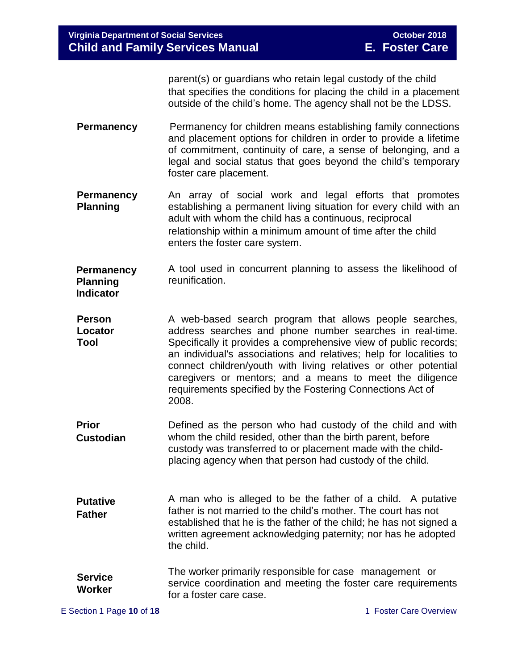parent(s) or guardians who retain legal custody of the child that specifies the conditions for placing the child in a placement outside of the child's home. The agency shall not be the LDSS.

- **Permanency** Permanency for children means establishing family connections and placement options for children in order to provide a lifetime of commitment, continuity of care, a sense of belonging, and a legal and social status that goes beyond the child's temporary foster care placement.
- **Permanency Planning** An array of social work and legal efforts that promotes establishing a permanent living situation for every child with an adult with whom the child has a continuous, reciprocal relationship within a minimum amount of time after the child enters the foster care system.
- **Permanency Planning Indicator** A tool used in concurrent planning to assess the likelihood of reunification.
- **Person Locator Tool** A web-based search program that allows people searches, address searches and phone number searches in real-time. Specifically it provides a comprehensive view of public records; an individual's associations and relatives; help for localities to connect children/youth with living relatives or other potential caregivers or mentors; and a means to meet the diligence requirements specified by the Fostering Connections Act of 2008.
- **Prior Custodian** Defined as the person who had custody of the child and with whom the child resided, other than the birth parent, before custody was transferred to or placement made with the childplacing agency when that person had custody of the child.
- **Putative Father** A man who is alleged to be the father of a child. A putative father is not married to the child's mother. The court has not established that he is the father of the child; he has not signed a written agreement acknowledging paternity; nor has he adopted the child.
- **Service Worker** The worker primarily responsible for case management or service coordination and meeting the foster care requirements for a foster care case.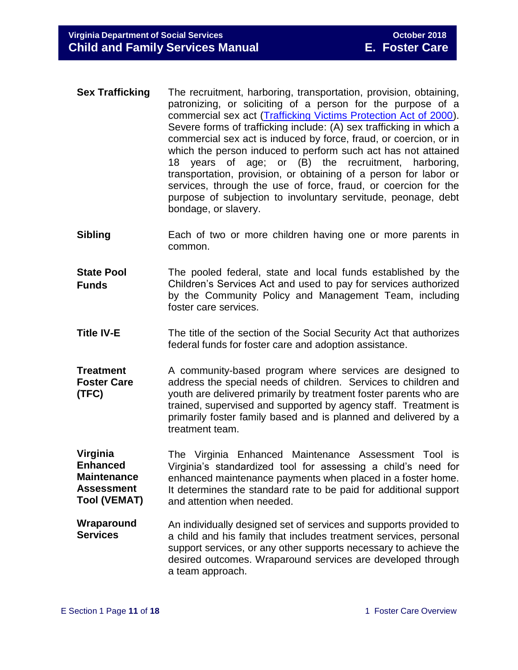- **Sex Trafficking** The recruitment, harboring, transportation, provision, obtaining, patronizing, or soliciting of a person for the purpose of a commercial sex act [\(Trafficking Victims Protection Act of 2000\)](https://www.state.gov/j/tip/laws/61124.htm). Severe forms of trafficking include: (A) sex trafficking in which a commercial sex act is induced by force, fraud, or coercion, or in which the person induced to perform such act has not attained 18 years of age; or (B) the recruitment, harboring, transportation, provision, or obtaining of a person for labor or services, through the use of force, fraud, or coercion for the purpose of subjection to involuntary servitude, peonage, debt bondage, or slavery.
- **Sibling** Each of two or more children having one or more parents in common.
- **State Pool Funds** The pooled federal, state and local funds established by the Children's Services Act and used to pay for services authorized by the Community Policy and Management Team, including foster care services.
- **Title IV-E** The title of the section of the Social Security Act that authorizes federal funds for foster care and adoption assistance.
- **Treatment Foster Care (TFC)** A community-based program where services are designed to address the special needs of children. Services to children and youth are delivered primarily by treatment foster parents who are trained, supervised and supported by agency staff. Treatment is primarily foster family based and is planned and delivered by a treatment team.

**Virginia Enhanced Maintenance Assessment Tool (VEMAT)** The Virginia Enhanced Maintenance Assessment Tool is Virginia's standardized tool for assessing a child's need for enhanced maintenance payments when placed in a foster home. It determines the standard rate to be paid for additional support and attention when needed.

**Wraparound Services** An individually designed set of services and supports provided to a child and his family that includes treatment services, personal support services, or any other supports necessary to achieve the desired outcomes. Wraparound services are developed through a team approach.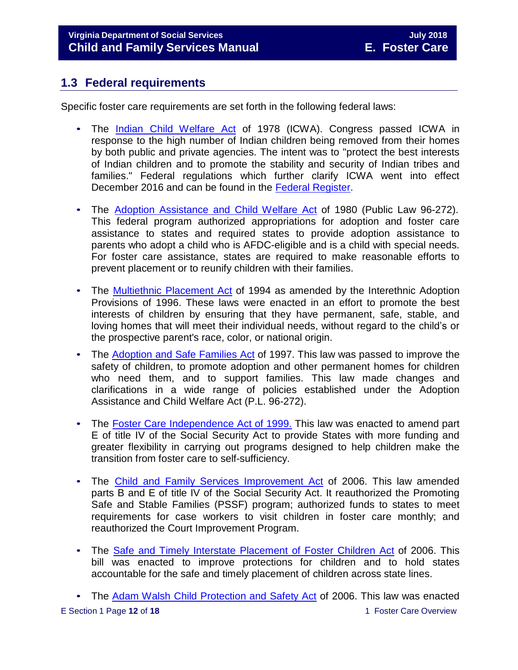## **1.3 Federal requirements**

Specific foster care requirements are set forth in the following federal laws:

- The [Indian Child Welfare Act](http://www.nicwa.org/Indian_Child_Welfare_Act/) of 1978 (ICWA). Congress passed ICWA in response to the high number of Indian children being removed from their homes by both public and private agencies. The intent was to "protect the best interests of Indian children and to promote the stability and security of Indian tribes and families." Federal regulations which further clarify ICWA went into effect December 2016 and can be found in the [Federal Register.](https://www.gpo.gov/fdsys/pkg/FR-2016-06-14/pdf/2016-13686.pdf)
- The Adoption [Assistance](https://www.ssa.gov/OP_Home/comp2/F096-272.html) and Child Welfare Act of 1980 (Public Law 96-272). This federal program authorized appropriations for adoption and foster care assistance to states and required states to provide adoption assistance to parents who adopt a child who is AFDC-eligible and is a child with special needs. For foster care assistance, states are required to make reasonable efforts to prevent placement or to reunify children with their families.
- The [Multiethnic](http://laws.adoption.com/statutes/multiethnic-placement-act-mepa-of-1994.html) Placement Act of 1994 as amended by the Interethnic Adoption Provisions of 1996. These laws were enacted in an effort to promote the best interests of children by ensuring that they have permanent, safe, stable, and loving homes that will meet their individual needs, without regard to the child's or the prospective parent's race, color, or national origin.
- The [Adoption](http://laws.adoption.com/statutes/adoption-and-safe-families-act-asfa-of-1997.html) and Safe Families Act of 1997. This law was passed to improve the safety of children, to promote adoption and other permanent homes for children who need them, and to support families. This law made changes and clarifications in a wide range of policies established under the Adoption Assistance and Child Welfare Act (P.L. 96-272).
- The Foster Care [Independence](https://www.ssa.gov/legislation/legis_bulletin_112499.html) Act of 1999. This law was enacted to amend part E of title IV of the Social Security Act to provide States with more funding and greater flexibility in carrying out programs designed to help children make the transition from foster care to self-sufficiency.
- The Child and Family Services [Improvement](http://www.gpo.gov/fdsys/pkg/PLAW-109publ288/pdf/PLAW-109publ288.pdf) Act of 2006. This law amended parts B and E of title IV of the Social Security Act. It reauthorized the Promoting Safe and Stable Families (PSSF) program; authorized funds to states to meet requirements for case workers to visit children in foster care monthly; and reauthorized the Court Improvement Program.
- The Safe and Timely Interstate [Placement](https://www.gpo.gov/fdsys/pkg/PLAW-109publ239/content-detail.html) of Foster Children Act of 2006. This bill was enacted to improve protections for children and to hold states accountable for the safe and timely placement of children across state lines.

E Section 1 Page **12** of **18** 1 Foster Care Overview • The Adam Walsh Child [Protection](http://www.gpo.gov/fdsys/pkg/PLAW-109publ248/pdf/PLAW-109publ248.pdf) and Safety Act of 2006. This law was enacted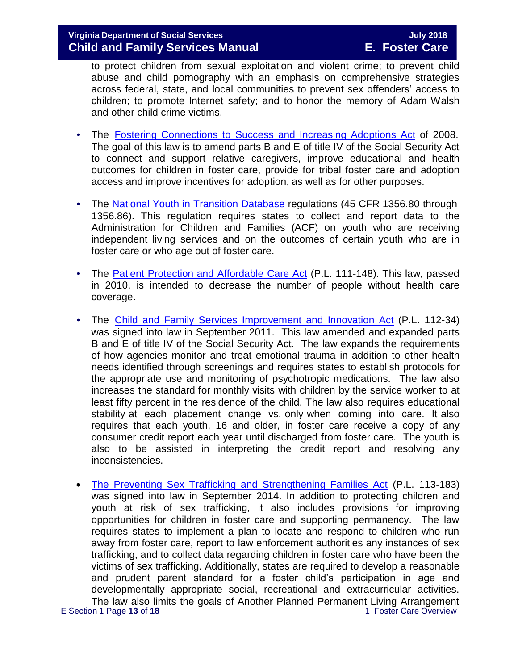to protect children from sexual exploitation and violent crime; to prevent child abuse and child pornography with an emphasis on comprehensive strategies across federal, state, and local communities to prevent sex offenders' access to children; to promote Internet safety; and to honor the memory of Adam Walsh and other child crime victims.

- The Fostering [Connections](https://www.ssa.gov/OP_Home/comp2/F110-351.html) to Success and Increasing Adoptions Act of 2008. The goal of this law is to amend parts B and E of title IV of the Social Security Act to connect and support relative caregivers, improve educational and health outcomes for children in foster care, provide for tribal foster care and adoption access and improve incentives for adoption, as well as for other purposes.
- The National Youth in [Transition](http://edocket.access.gpo.gov/2008/pdf/E8-3050.pdf) Database regulations (45 CFR 1356.80 through 1356.86). This regulation requires states to collect and report data to the Administration for Children and Families (ACF) on youth who are receiving independent living services and on the outcomes of certain youth who are in foster care or who age out of foster care.
- The Patient Protection and [Affordable](https://www.gpo.gov/fdsys/pkg/PLAW-111publ148/content-detail.html) Care Act (P.L. 111-148). This law, passed in 2010, is intended to decrease the number of people without health care coverage.
- The Child and Family Services [Improvement](https://www.gpo.gov/fdsys/pkg/PLAW-112publ34/content-detail.html) and Innovation Act (P.L. 112-34) was signed into law in September 2011. This law amended and expanded parts B and E of title IV of the Social Security Act. The law expands the requirements of how agencies monitor and treat emotional trauma in addition to other health needs identified through screenings and requires states to establish protocols for the appropriate use and monitoring of psychotropic medications. The law also increases the standard for monthly visits with children by the service worker to at least fifty percent in the residence of the child. The law also requires educational stability at each placement change vs. only when coming into care. It also requires that each youth, 16 and older, in foster care receive a copy of any consumer credit report each year until discharged from foster care. The youth is also to be assisted in interpreting the credit report and resolving any inconsistencies.
- E Section 1 Page 13 of 18 1 and 1 Foster Care Overview [The Preventing Sex Trafficking and Strengthening Families Act](https://www.congress.gov/113/plaws/publ183/PLAW-113publ183.pdf) (P.L. 113-183) was signed into law in September 2014. In addition to protecting children and youth at risk of sex trafficking, it also includes provisions for improving opportunities for children in foster care and supporting permanency. The law requires states to implement a plan to locate and respond to children who run away from foster care, report to law enforcement authorities any instances of sex trafficking, and to collect data regarding children in foster care who have been the victims of sex trafficking. Additionally, states are required to develop a reasonable and prudent parent standard for a foster child's participation in age and developmentally appropriate social, recreational and extracurricular activities. The law also limits the goals of Another Planned Permanent Living Arrangement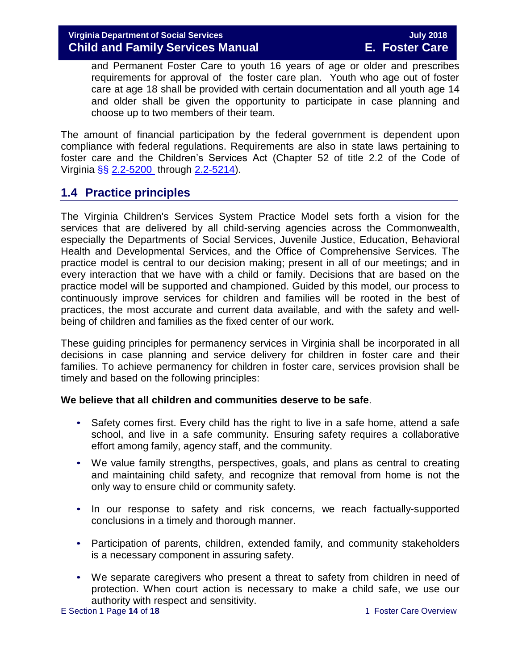and Permanent Foster Care to youth 16 years of age or older and prescribes requirements for approval of the foster care plan. Youth who age out of foster care at age 18 shall be provided with certain documentation and all youth age 14 and older shall be given the opportunity to participate in case planning and choose up to two members of their team.

The amount of financial participation by the federal government is dependent upon compliance with federal regulations. Requirements are also in state laws pertaining to foster care and the Children's Services Act (Chapter 52 of title 2.2 of the Code of Virginia §§ [2.2-5200](http://law.lis.virginia.gov/vacode/2.2-5200/) through [2.2-5214\)](http://law.lis.virginia.gov/vacode/2.2-5214/).

## **1.4 Practice principles**

The Virginia Children's Services System Practice Model sets forth a vision for the services that are delivered by all child-serving agencies across the Commonwealth, especially the Departments of Social Services, Juvenile Justice, Education, Behavioral Health and Developmental Services, and the Office of Comprehensive Services. The practice model is central to our decision making; present in all of our meetings; and in every interaction that we have with a child or family. Decisions that are based on the practice model will be supported and championed. Guided by this model, our process to continuously improve services for children and families will be rooted in the best of practices, the most accurate and current data available, and with the safety and wellbeing of children and families as the fixed center of our work.

These guiding principles for permanency services in Virginia shall be incorporated in all decisions in case planning and service delivery for children in foster care and their families. To achieve permanency for children in foster care, services provision shall be timely and based on the following principles:

#### **We believe that all children and communities deserve to be safe**.

- Safety comes first. Every child has the right to live in a safe home, attend a safe school, and live in a safe community. Ensuring safety requires a collaborative effort among family, agency staff, and the community.
- We value family strengths, perspectives, goals, and plans as central to creating and maintaining child safety, and recognize that removal from home is not the only way to ensure child or community safety.
- In our response to safety and risk concerns, we reach factually-supported conclusions in a timely and thorough manner.
- Participation of parents, children, extended family, and community stakeholders is a necessary component in assuring safety.
- We separate caregivers who present a threat to safety from children in need of protection. When court action is necessary to make a child safe, we use our authority with respect and sensitivity.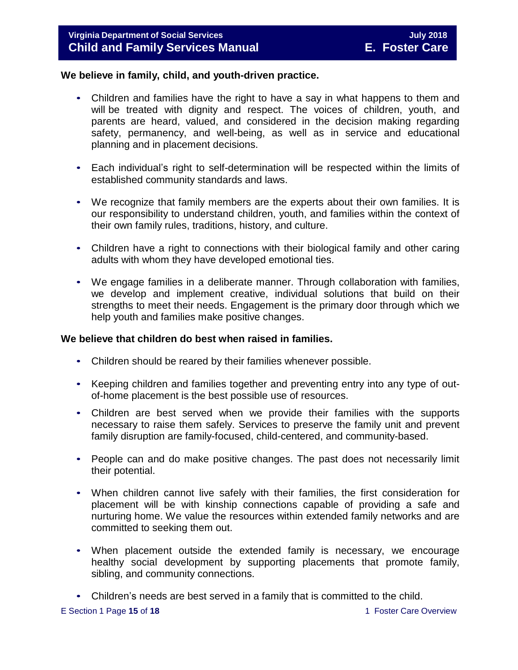#### **We believe in family, child, and youth-driven practice.**

- Children and families have the right to have a say in what happens to them and will be treated with dignity and respect. The voices of children, youth, and parents are heard, valued, and considered in the decision making regarding safety, permanency, and well-being, as well as in service and educational planning and in placement decisions.
- Each individual's right to self-determination will be respected within the limits of established community standards and laws.
- We recognize that family members are the experts about their own families. It is our responsibility to understand children, youth, and families within the context of their own family rules, traditions, history, and culture.
- Children have a right to connections with their biological family and other caring adults with whom they have developed emotional ties.
- We engage families in a deliberate manner. Through collaboration with families, we develop and implement creative, individual solutions that build on their strengths to meet their needs. Engagement is the primary door through which we help youth and families make positive changes.

## **We believe that children do best when raised in families.**

- Children should be reared by their families whenever possible.
- Keeping children and families together and preventing entry into any type of outof-home placement is the best possible use of resources.
- Children are best served when we provide their families with the supports necessary to raise them safely. Services to preserve the family unit and prevent family disruption are family-focused, child-centered, and community-based.
- People can and do make positive changes. The past does not necessarily limit their potential.
- When children cannot live safely with their families, the first consideration for placement will be with kinship connections capable of providing a safe and nurturing home. We value the resources within extended family networks and are committed to seeking them out.
- When placement outside the extended family is necessary, we encourage healthy social development by supporting placements that promote family, sibling, and community connections.
- Children's needs are best served in a family that is committed to the child.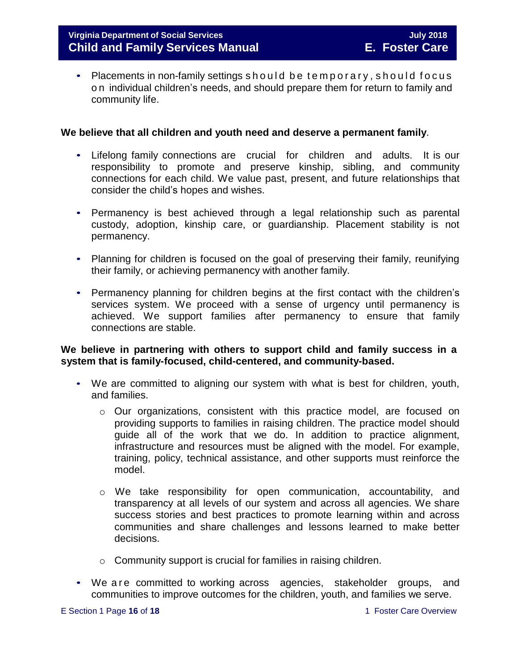• Placements in non-family settings should be temporary, should focus o n individual children's needs, and should prepare them for return to family and community life.

#### **We believe that all children and youth need and deserve a permanent family**.

- Lifelong family connections are crucial for children and adults. It is our responsibility to promote and preserve kinship, sibling, and community connections for each child. We value past, present, and future relationships that consider the child's hopes and wishes.
- Permanency is best achieved through a legal relationship such as parental custody, adoption, kinship care, or guardianship. Placement stability is not permanency.
- Planning for children is focused on the goal of preserving their family, reunifying their family, or achieving permanency with another family.
- Permanency planning for children begins at the first contact with the children's services system. We proceed with a sense of urgency until permanency is achieved. We support families after permanency to ensure that family connections are stable.

#### **We believe in partnering with others to support child and family success in a system that is family-focused, child-centered, and community-based.**

- We are committed to aligning our system with what is best for children, youth, and families.
	- o Our organizations, consistent with this practice model, are focused on providing supports to families in raising children. The practice model should guide all of the work that we do. In addition to practice alignment, infrastructure and resources must be aligned with the model. For example, training, policy, technical assistance, and other supports must reinforce the model.
	- o We take responsibility for open communication, accountability, and transparency at all levels of our system and across all agencies. We share success stories and best practices to promote learning within and across communities and share challenges and lessons learned to make better decisions.
	- o Community support is crucial for families in raising children.
- We are committed to working across agencies, stakeholder groups, and communities to improve outcomes for the children, youth, and families we serve.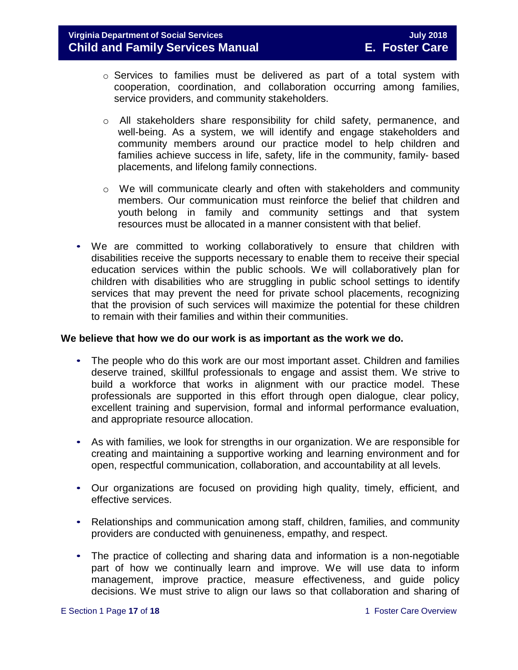- o Services to families must be delivered as part of a total system with cooperation, coordination, and collaboration occurring among families, service providers, and community stakeholders.
- o All stakeholders share responsibility for child safety, permanence, and well-being. As a system, we will identify and engage stakeholders and community members around our practice model to help children and families achieve success in life, safety, life in the community, family- based placements, and lifelong family connections.
- $\circ$  We will communicate clearly and often with stakeholders and community members. Our communication must reinforce the belief that children and youth belong in family and community settings and that system resources must be allocated in a manner consistent with that belief.
- We are committed to working collaboratively to ensure that children with disabilities receive the supports necessary to enable them to receive their special education services within the public schools. We will collaboratively plan for children with disabilities who are struggling in public school settings to identify services that may prevent the need for private school placements, recognizing that the provision of such services will maximize the potential for these children to remain with their families and within their communities.

#### **We believe that how we do our work is as important as the work we do.**

- The people who do this work are our most important asset. Children and families deserve trained, skillful professionals to engage and assist them. We strive to build a workforce that works in alignment with our practice model. These professionals are supported in this effort through open dialogue, clear policy, excellent training and supervision, formal and informal performance evaluation, and appropriate resource allocation.
- As with families, we look for strengths in our organization. We are responsible for creating and maintaining a supportive working and learning environment and for open, respectful communication, collaboration, and accountability at all levels.
- Our organizations are focused on providing high quality, timely, efficient, and effective services.
- Relationships and communication among staff, children, families, and community providers are conducted with genuineness, empathy, and respect.
- The practice of collecting and sharing data and information is a non-negotiable part of how we continually learn and improve. We will use data to inform management, improve practice, measure effectiveness, and guide policy decisions. We must strive to align our laws so that collaboration and sharing of